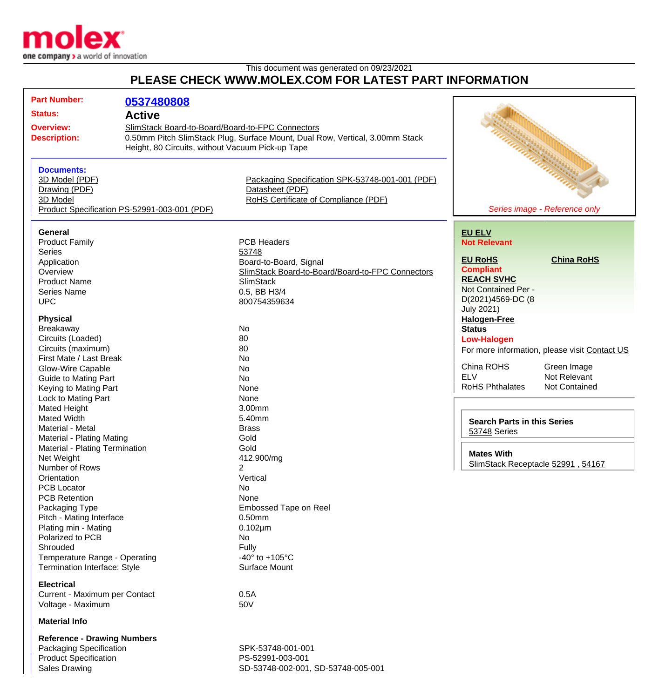

## This document was generated on 09/23/2021 **PLEASE CHECK WWW.MOLEX.COM FOR LATEST PART INFORMATION**

| <b>Part Number:</b>                          |                                                                              |                                                  |                                                        |                                               |
|----------------------------------------------|------------------------------------------------------------------------------|--------------------------------------------------|--------------------------------------------------------|-----------------------------------------------|
|                                              | 0537480808                                                                   |                                                  |                                                        |                                               |
| <b>Status:</b>                               | <b>Active</b>                                                                |                                                  |                                                        |                                               |
| <b>Overview:</b>                             | SlimStack Board-to-Board/Board-to-FPC Connectors                             |                                                  |                                                        |                                               |
| <b>Description:</b>                          | 0.50mm Pitch SlimStack Plug, Surface Mount, Dual Row, Vertical, 3.00mm Stack |                                                  |                                                        |                                               |
|                                              | Height, 80 Circuits, without Vacuum Pick-up Tape                             |                                                  |                                                        |                                               |
|                                              |                                                                              |                                                  |                                                        |                                               |
| <b>Documents:</b>                            |                                                                              |                                                  |                                                        |                                               |
| 3D Model (PDF)                               |                                                                              | Packaging Specification SPK-53748-001-001 (PDF)  |                                                        |                                               |
| Drawing (PDF)                                |                                                                              | Datasheet (PDF)                                  |                                                        |                                               |
| 3D Model                                     |                                                                              | RoHS Certificate of Compliance (PDF)             |                                                        |                                               |
| Product Specification PS-52991-003-001 (PDF) |                                                                              |                                                  | Series image - Reference only                          |                                               |
|                                              |                                                                              |                                                  |                                                        |                                               |
|                                              |                                                                              |                                                  |                                                        |                                               |
| <b>General</b>                               |                                                                              | <b>PCB Headers</b>                               | <b>EU ELV</b>                                          |                                               |
| <b>Product Family</b>                        |                                                                              |                                                  | <b>Not Relevant</b>                                    |                                               |
| <b>Series</b>                                |                                                                              | 53748                                            | <b>EU RoHS</b>                                         | <b>China RoHS</b>                             |
| Application                                  |                                                                              | Board-to-Board, Signal                           | <b>Compliant</b>                                       |                                               |
| Overview                                     |                                                                              | SlimStack Board-to-Board/Board-to-FPC Connectors | <b>REACH SVHC</b>                                      |                                               |
| <b>Product Name</b>                          |                                                                              | <b>SlimStack</b>                                 | Not Contained Per -                                    |                                               |
| <b>Series Name</b>                           |                                                                              | 0.5, BB H3/4                                     |                                                        |                                               |
| <b>UPC</b>                                   |                                                                              | 800754359634                                     | D(2021)4569-DC (8                                      |                                               |
| <b>Physical</b>                              |                                                                              |                                                  | <b>July 2021)</b>                                      |                                               |
|                                              |                                                                              | No                                               | <b>Halogen-Free</b>                                    |                                               |
| Breakaway                                    |                                                                              |                                                  | <b>Status</b>                                          |                                               |
| Circuits (Loaded)                            |                                                                              | 80                                               | <b>Low-Halogen</b>                                     |                                               |
| Circuits (maximum)                           |                                                                              | 80                                               |                                                        | For more information, please visit Contact US |
| First Mate / Last Break                      |                                                                              | No                                               | China ROHS                                             | Green Image                                   |
| Glow-Wire Capable                            |                                                                              | No                                               | <b>ELV</b>                                             | Not Relevant                                  |
| Guide to Mating Part                         |                                                                              | <b>No</b>                                        | <b>RoHS Phthalates</b>                                 | Not Contained                                 |
| Keying to Mating Part                        |                                                                              | None                                             |                                                        |                                               |
| Lock to Mating Part                          |                                                                              | None                                             |                                                        |                                               |
| Mated Height                                 |                                                                              | 3.00mm                                           |                                                        |                                               |
| <b>Mated Width</b>                           |                                                                              | 5.40mm                                           | <b>Search Parts in this Series</b><br>53748 Series     |                                               |
| Material - Metal                             |                                                                              | <b>Brass</b>                                     |                                                        |                                               |
| Material - Plating Mating                    |                                                                              | Gold                                             |                                                        |                                               |
| Material - Plating Termination               |                                                                              | Gold                                             | <b>Mates With</b><br>SlimStack Receptacle 52991, 54167 |                                               |
| Net Weight                                   |                                                                              | 412.900/mg                                       |                                                        |                                               |
| Number of Rows                               |                                                                              | $\overline{2}$                                   |                                                        |                                               |
| Orientation                                  |                                                                              | Vertical                                         |                                                        |                                               |
| <b>PCB Locator</b>                           |                                                                              | No                                               |                                                        |                                               |
| <b>PCB Retention</b>                         |                                                                              | None                                             |                                                        |                                               |
| Packaging Type                               |                                                                              | Embossed Tape on Reel                            |                                                        |                                               |
| Pitch - Mating Interface                     |                                                                              | $0.50$ mm                                        |                                                        |                                               |
| Plating min - Mating                         |                                                                              | $0.102 \mu m$                                    |                                                        |                                               |
| Polarized to PCB                             |                                                                              | No                                               |                                                        |                                               |
| Shrouded                                     |                                                                              | Fully                                            |                                                        |                                               |
| Temperature Range - Operating                |                                                                              | -40 $^{\circ}$ to +105 $^{\circ}$ C              |                                                        |                                               |
| <b>Termination Interface: Style</b>          |                                                                              | Surface Mount                                    |                                                        |                                               |
| <b>Electrical</b>                            |                                                                              |                                                  |                                                        |                                               |
| Current - Maximum per Contact                |                                                                              | 0.5A                                             |                                                        |                                               |
| Voltage - Maximum                            |                                                                              | 50V                                              |                                                        |                                               |
|                                              |                                                                              |                                                  |                                                        |                                               |
| <b>Material Info</b>                         |                                                                              |                                                  |                                                        |                                               |
| <b>Reference - Drawing Numbers</b>           |                                                                              |                                                  |                                                        |                                               |
| Packaging Specification                      |                                                                              | SPK-53748-001-001                                |                                                        |                                               |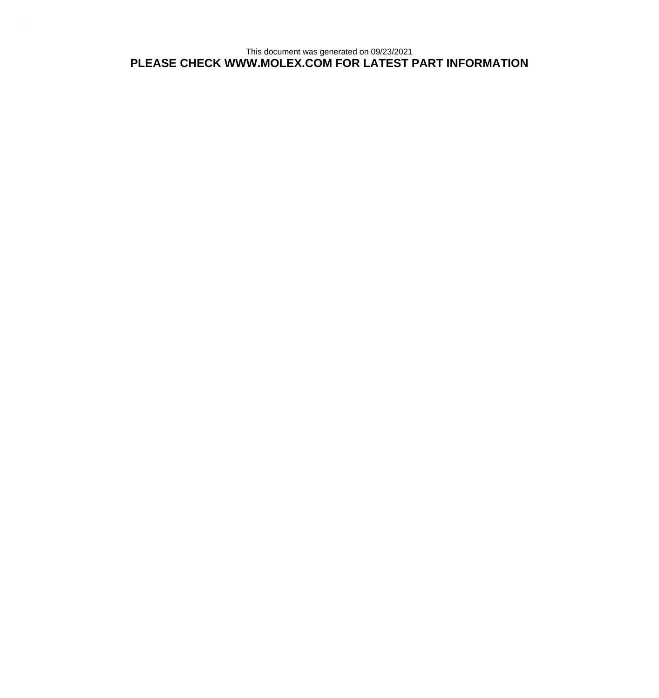This document was generated on 09/23/2021 **PLEASE CHECK WWW.MOLEX.COM FOR LATEST PART INFORMATION**